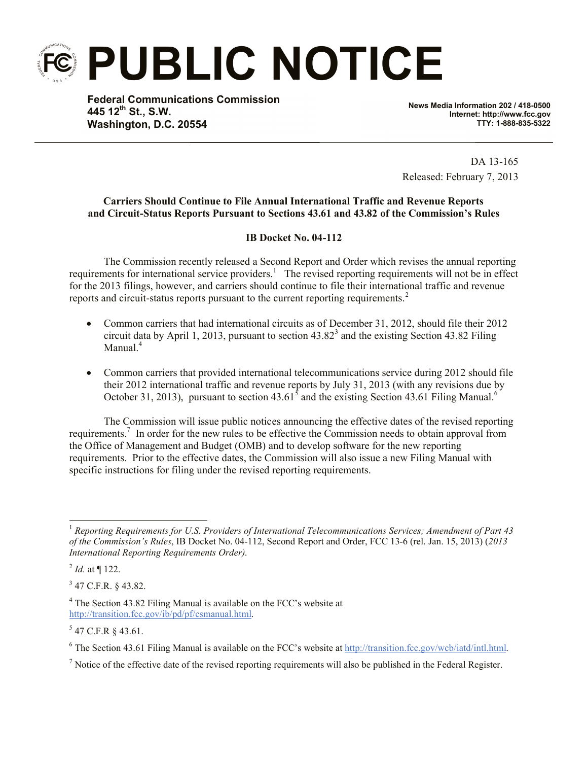**PUBLIC NOTICE**

**Federal Communications Commission 445 12th St., S.W. Washington, D.C. 20554**

**News Media Information 202 / 418-0500 Internet: http://www.fcc.gov TTY: 1-888-835-5322**

DA 13-165 Released: February 7, 2013

## **Carriers Should Continue to File Annual International Traffic and Revenue Reports and Circuit-Status Reports Pursuant to Sections 43.61 and 43.82 of the Commission's Rules**

## **IB Docket No. 04-112**

The Commission recently released a Second Report and Order which revises the annual reporting requirements for international service providers.<sup>1</sup> The revised reporting requirements will not be in effect for the 2013 filings, however, and carriers should continue to file their international traffic and revenue reports and circuit-status reports pursuant to the current reporting requirements.<sup>2</sup>

- Common carriers that had international circuits as of December 31, 2012, should file their 2012 circuit data by April 1, 2013, pursuant to section  $43.82^3$  and the existing Section 43.82 Filing Manual<sup>4</sup>
- Common carriers that provided international telecommunications service during 2012 should file their 2012 international traffic and revenue reports by July 31, 2013 (with any revisions due by October 31, 2013), pursuant to section  $43.61<sup>5</sup>$  and the existing Section 43.61 Filing Manual.<sup>6</sup>

The Commission will issue public notices announcing the effective dates of the revised reporting requirements.<sup>7</sup> In order for the new rules to be effective the Commission needs to obtain approval from the Office of Management and Budget (OMB) and to develop software for the new reporting requirements. Prior to the effective dates, the Commission will also issue a new Filing Manual with specific instructions for filing under the revised reporting requirements.

l

 $3$  47 C.F.R. § 43.82.

 $5$  47 C.F.R § 43.61.

<sup>1</sup> *Reporting Requirements for U.S. Providers of International Telecommunications Services; Amendment of Part 43 of the Commission's Rules*, IB Docket No. 04-112, Second Report and Order, FCC 13-6 (rel. Jan. 15, 2013) (*2013 International Reporting Requirements Order)*.

 $^{2}$  *Id.* at  $\P$  122.

<sup>4</sup> The Section 43.82 Filing Manual is available on the FCC's website at http://transition.fcc.gov/ib/pd/pf/csmanual.html.

<sup>6</sup> The Section 43.61 Filing Manual is available on the FCC's website at http://transition.fcc.gov/wcb/iatd/intl.html.

 $<sup>7</sup>$  Notice of the effective date of the revised reporting requirements will also be published in the Federal Register.</sup>